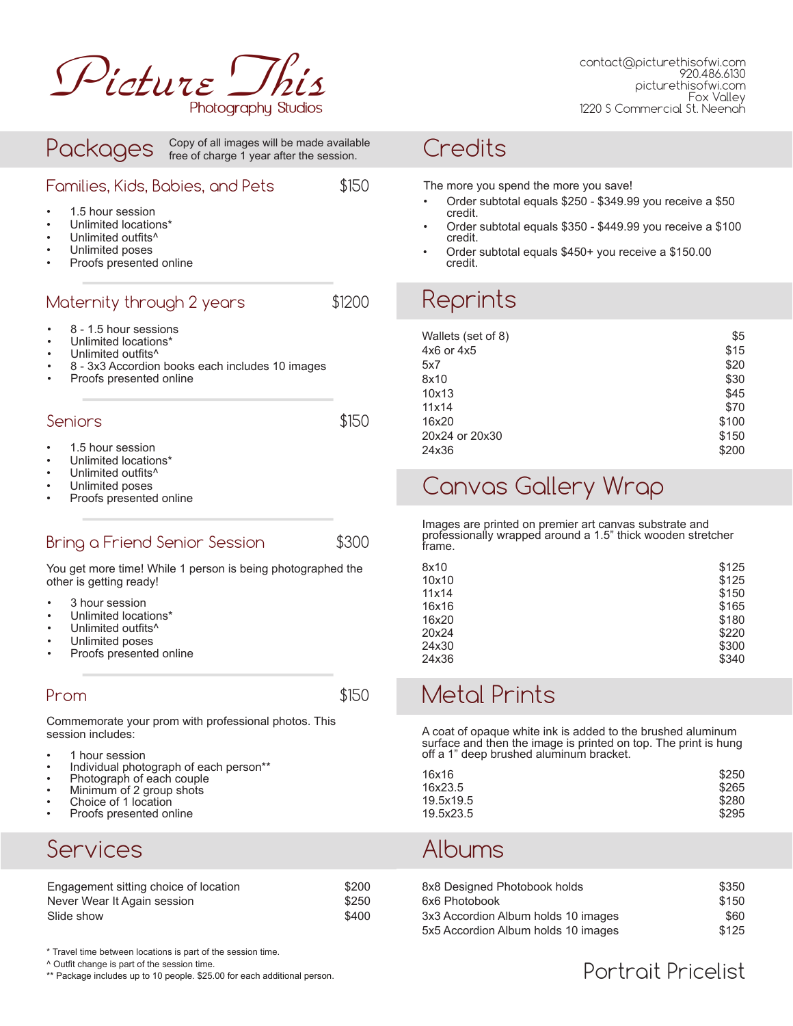

#### Packages Proofs presented online Families, Kids, Babies, and Pets Maternity through 2 years \$1200 Seniors \$150 1.5 hour session • Unlimited locations\* Unlimited outfits<sup>^</sup> Unlimited poses \$150 Proofs presented online • 8 - 1.5 hour sessions • Unlimited locations\* Unlimited outfits<sup>^</sup> • 8 - 3x3 Accordion books each includes 10 images Proofs presented online 1.5 hour session • Unlimited locations\* Unlimited outfits<sup>^</sup> Unlimited poses Copy of all images will be made available free of charge 1 year after the session.

#### Bring a Friend Senior Session  $$300$

You get more time! While 1 person is being photographed the other is getting ready!

- 3 hour session
- Unlimited locations\*
- Unlimited outfits^
- Unlimited poses
- Proofs presented online

#### Prom \$150

Commemorate your prom with professional photos. This session includes:

- 1 hour session
- Individual photograph of each person\*\*
- Photograph of each couple
- Minimum of 2 group shots
- Choice of 1 location
- Proofs presented online

### Services

| Engagement sitting choice of location | \$200 |
|---------------------------------------|-------|
| Never Wear It Again session           | \$250 |
| Slide show                            | \$400 |

\* Travel time between locations is part of the session time.

^ Outfit change is part of the session time.

\*\* Package includes up to 10 people. \$25.00 for each additional person.

#### **Credits**

The more you spend the more you save!

- Order subtotal equals \$250 \$349.99 you receive a \$50 credit.
- Order subtotal equals \$350 \$449.99 you receive a \$100 credit.
- Order subtotal equals \$450+ you receive a \$150.00 credit.

## Reprints

| Wallets (set of 8) | \$5   |
|--------------------|-------|
| $4x6$ or $4x5$     | \$15  |
| 5x7                | \$20  |
| 8x10               | \$30  |
| 10x13              | \$45  |
| 11x14              | \$70  |
| 16x20              | \$100 |
| 20x24 or 20x30     | \$150 |
| 24x36              | \$200 |

## Canvas Gallery Wrap

Images are printed on premier art canvas substrate and professionally wrapped around a 1.5" thick wooden stretcher frame.

| 8x10  | \$125 |
|-------|-------|
| 10x10 | \$125 |
| 11x14 | \$150 |
| 16x16 | \$165 |
| 16x20 | \$180 |
| 20x24 | \$220 |
| 24x30 | \$300 |
| 24x36 | \$340 |

## Metal Prints

A coat of opaque white ink is added to the brushed aluminum surface and then the image is printed on top. The print is hung off a 1" deep brushed aluminum bracket.

| 16x16     | \$250 |
|-----------|-------|
| 16x23.5   | \$265 |
| 19.5x19.5 | \$280 |
| 19.5x23.5 | \$295 |

#### Albums

| 8x8 Designed Photobook holds        | \$350 |
|-------------------------------------|-------|
| 6x6 Photobook                       | \$150 |
| 3x3 Accordion Album holds 10 images | \$60. |
| 5x5 Accordion Album holds 10 images | \$125 |

#### Portrait Pricelist